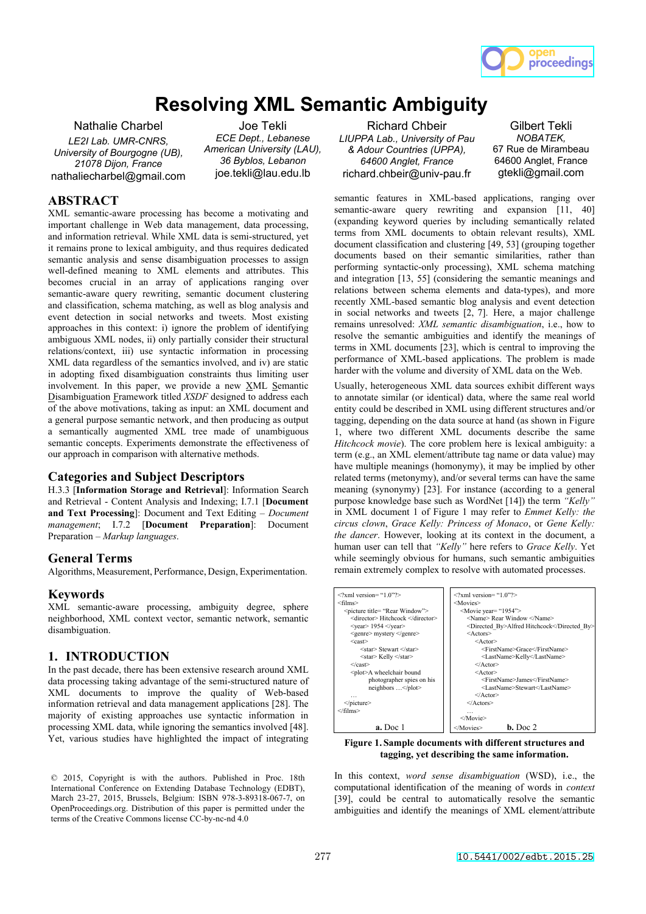

# **Resolving XML Semantic Ambiguity**

Nathalie Charbel *LE2I Lab. UMR-CNRS, University of Bourgogne (UB), 21078 Dijon, France*  nathaliecharbel@gmail.com

Joe Tekli *ECE Dept., Lebanese American University (LAU), 36 Byblos, Lebanon*  joe.tekli@lau.edu.lb

# **ABSTRACT**

XML semantic-aware processing has become a motivating and important challenge in Web data management, data processing, and information retrieval. While XML data is semi-structured, yet it remains prone to lexical ambiguity, and thus requires dedicated semantic analysis and sense disambiguation processes to assign well-defined meaning to XML elements and attributes. This becomes crucial in an array of applications ranging over semantic-aware query rewriting, semantic document clustering and classification, schema matching, as well as blog analysis and event detection in social networks and tweets. Most existing approaches in this context: i) ignore the problem of identifying ambiguous XML nodes, ii) only partially consider their structural relations/context, iii) use syntactic information in processing XML data regardless of the semantics involved, and iv) are static in adopting fixed disambiguation constraints thus limiting user involvement. In this paper, we provide a new  $XML$  Semantic Disambiguation Framework titled *XSDF* designed to address each of the above motivations, taking as input: an XML document and a general purpose semantic network, and then producing as output a semantically augmented XML tree made of unambiguous semantic concepts. Experiments demonstrate the effectiveness of our approach in comparison with alternative methods.

## **Categories and Subject Descriptors**

H.3.3 [**Information Storage and Retrieval**]: Information Search and Retrieval - Content Analysis and Indexing; I.7.1 [**Document and Text Processing**]: Document and Text Editing – *Document management*; I.7.2 [**Document Preparation**]: Document Preparation – *Markup languages*.

## **General Terms**

Algorithms, Measurement, Performance, Design, Experimentation.

## **Keywords**

XML semantic-aware processing, ambiguity degree, sphere neighborhood, XML context vector, semantic network, semantic disambiguation.

## **1. INTRODUCTION**

In the past decade, there has been extensive research around XML data processing taking advantage of the semi-structured nature of XML documents to improve the quality of Web-based information retrieval and data management applications [28]. The majority of existing approaches use syntactic information in processing XML data, while ignoring the semantics involved [48]. Yet, various studies have highlighted the impact of integrating

Richard Chbeir *LIUPPA Lab., University of Pau & Adour Countries (UPPA), 64600 Anglet, France*  richard.chbeir@univ-pau.fr

Gilbert Tekli *NOBATEK,*  67 Rue de Mirambeau 64600 Anglet, France gtekli@gmail.com

semantic features in XML-based applications, ranging over semantic-aware query rewriting and expansion [11, 40] (expanding keyword queries by including semantically related terms from XML documents to obtain relevant results), XML document classification and clustering [49, 53] (grouping together documents based on their semantic similarities, rather than performing syntactic-only processing), XML schema matching and integration [13, 55] (considering the semantic meanings and relations between schema elements and data-types), and more recently XML-based semantic blog analysis and event detection in social networks and tweets [2, 7]. Here, a major challenge remains unresolved: *XML semantic disambiguation*, i.e., how to resolve the semantic ambiguities and identify the meanings of terms in XML documents [23], which is central to improving the performance of XML-based applications. The problem is made harder with the volume and diversity of XML data on the Web.

Usually, heterogeneous XML data sources exhibit different ways to annotate similar (or identical) data, where the same real world entity could be described in XML using different structures and/or tagging, depending on the data source at hand (as shown in Figure 1, where two different XML documents describe the same *Hitchcock movie*). The core problem here is lexical ambiguity: a term (e.g., an XML element/attribute tag name or data value) may have multiple meanings (homonymy), it may be implied by other related terms (metonymy), and/or several terms can have the same meaning (synonymy) [23]. For instance (according to a general purpose knowledge base such as WordNet [14]) the term *"Kelly"* in XML document 1 of Figure 1 may refer to *Emmet Kelly: the circus clown*, *Grace Kelly: Princess of Monaco*, or *Gene Kelly: the dancer*. However, looking at its context in the document, a human user can tell that *"Kelly"* here refers to *Grace Kelly*. Yet while seemingly obvious for humans, such semantic ambiguities remain extremely complex to resolve with automated processes.

| $\langle$ ?xml version="1 0"?>          | $\langle$ ?xml version= "1 0"?>             |
|-----------------------------------------|---------------------------------------------|
| <films></films>                         | <movies></movies>                           |
| <picture title="Rear Window"></picture> | <movie year="1954"></movie>                 |
| <director> Hitchcock </director>        | <name> Rear Window </name>                  |
| $<$ year $>$ 1954 $<$ /year $>$         | <directed by="">Alfred Hitchcock</directed> |
| <genre> mystery </genre>                | $<$ Actors $>$                              |
| $<$ cast $>$                            | $<$ Actor $>$                               |
| <star> Stewart </star>                  | <firstname>Grace</firstname>                |
| <star> Kelly </star>                    | <lastname>Kelly</lastname>                  |
| $\langle$ /cast $\rangle$               | $<$ /Actor>                                 |
| <plot>A wheelchair bound</plot>         | $<$ Actor $>$                               |
| photographer spies on his               | <firstname>James</firstname>                |
| neighbors                               | <lastname>Stewart</lastname>                |
| $\cdots$                                | $<$ /Actor>                                 |
| $<$ /picture $>$                        | $<$ /Actors>                                |
| $\le$ films>                            | .                                           |
|                                         | $<$ /Movie>                                 |
| $a.$ Doc 1                              | $h.$ Doc 2<br>                              |

**Figure 1. Sample documents with different structures and tagging, yet describing the same information.** 

In this context, *word sense disambiguation* (WSD), i.e., the computational identification of the meaning of words in *context* [39], could be central to automatically resolve the semantic ambiguities and identify the meanings of XML element/attribute

<sup>© 2015,</sup> Copyright is with the authors. Published in Proc. 18th International Conference on Extending Database Technology (EDBT), March 23-27, 2015, Brussels, Belgium: ISBN 978-3-89318-067-7, on OpenProceedings.org. Distribution of this paper is permitted under the terms of the Creative Commons license CC-by-nc-nd 4.0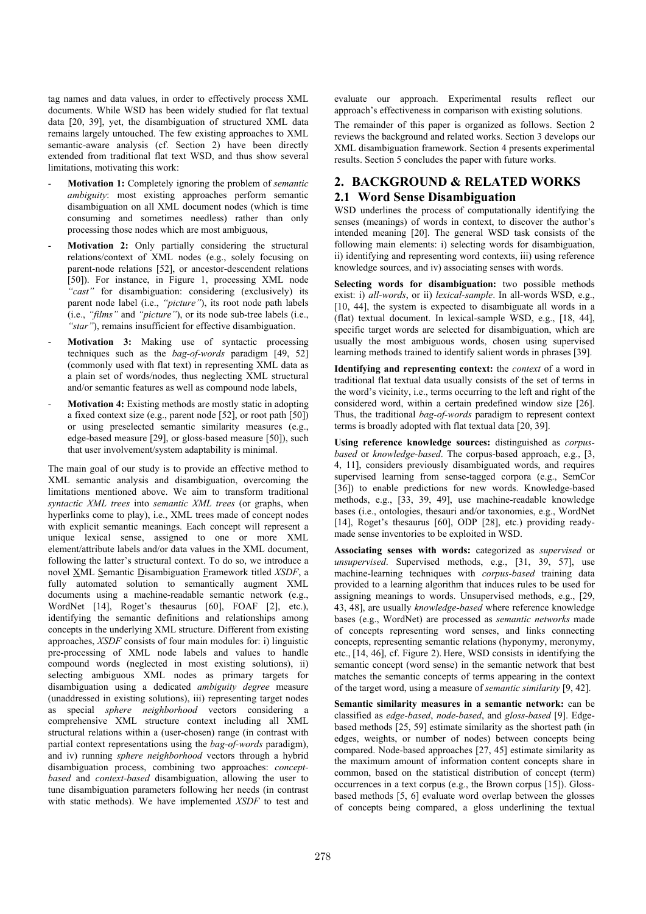tag names and data values, in order to effectively process XML documents. While WSD has been widely studied for flat textual data [20, 39], yet, the disambiguation of structured XML data remains largely untouched. The few existing approaches to XML semantic-aware analysis (cf. Section 2) have been directly extended from traditional flat text WSD, and thus show several limitations, motivating this work:

- **Motivation 1:** Completely ignoring the problem of *semantic ambiguity*: most existing approaches perform semantic disambiguation on all XML document nodes (which is time consuming and sometimes needless) rather than only processing those nodes which are most ambiguous,
- Motivation 2: Only partially considering the structural relations/context of XML nodes (e.g., solely focusing on parent-node relations [52], or ancestor-descendent relations [50]). For instance, in Figure 1, processing XML node *"cast"* for disambiguation: considering (exclusively) its parent node label (i.e., *"picture"*), its root node path labels (i.e., *"films"* and *"picture"*), or its node sub-tree labels (i.e., *"star"*), remains insufficient for effective disambiguation.
- **Motivation 3:** Making use of syntactic processing techniques such as the *bag-of-words* paradigm [49, 52] (commonly used with flat text) in representing XML data as a plain set of words/nodes, thus neglecting XML structural and/or semantic features as well as compound node labels,
- **Motivation 4:** Existing methods are mostly static in adopting a fixed context size (e.g., parent node [52], or root path [50]) or using preselected semantic similarity measures (e.g., edge-based measure [29], or gloss-based measure [50]), such that user involvement/system adaptability is minimal.

The main goal of our study is to provide an effective method to XML semantic analysis and disambiguation, overcoming the limitations mentioned above. We aim to transform traditional *syntactic XML trees* into *semantic XML trees* (or graphs, when hyperlinks come to play), i.e., XML trees made of concept nodes with explicit semantic meanings. Each concept will represent a unique lexical sense, assigned to one or more XML element/attribute labels and/or data values in the XML document, following the latter's structural context. To do so, we introduce a novel XML Semantic Disambiguation Framework titled *XSDF*, a fully automated solution to semantically augment XML documents using a machine-readable semantic network (e.g., WordNet [14], Roget's thesaurus [60], FOAF [2], etc.), identifying the semantic definitions and relationships among concepts in the underlying XML structure. Different from existing approaches, *XSDF* consists of four main modules for: i) linguistic pre-processing of XML node labels and values to handle compound words (neglected in most existing solutions), ii) selecting ambiguous XML nodes as primary targets for disambiguation using a dedicated *ambiguity degree* measure (unaddressed in existing solutions), iii) representing target nodes as special *sphere neighborhood* vectors considering a comprehensive XML structure context including all XML structural relations within a (user-chosen) range (in contrast with partial context representations using the *bag-of-words* paradigm), and iv) running *sphere neighborhood* vectors through a hybrid disambiguation process, combining two approaches: *conceptbased* and *context-based* disambiguation, allowing the user to tune disambiguation parameters following her needs (in contrast with static methods). We have implemented *XSDF* to test and evaluate our approach. Experimental results reflect our approach's effectiveness in comparison with existing solutions.

The remainder of this paper is organized as follows. Section 2 reviews the background and related works. Section 3 develops our XML disambiguation framework. Section 4 presents experimental results. Section 5 concludes the paper with future works.

# **2. BACKGROUND & RELATED WORKS 2.1 Word Sense Disambiguation**

WSD underlines the process of computationally identifying the senses (meanings) of words in context, to discover the author's intended meaning [20]. The general WSD task consists of the following main elements: i) selecting words for disambiguation, ii) identifying and representing word contexts, iii) using reference knowledge sources, and iv) associating senses with words.

**Selecting words for disambiguation:** two possible methods exist: i) *all-words*, or ii) *lexical-sample*. In all-words WSD, e.g., [10, 44], the system is expected to disambiguate all words in a (flat) textual document. In lexical-sample WSD, e.g., [18, 44], specific target words are selected for disambiguation, which are usually the most ambiguous words, chosen using supervised learning methods trained to identify salient words in phrases [39].

**Identifying and representing context:** the *context* of a word in traditional flat textual data usually consists of the set of terms in the word's vicinity, i.e., terms occurring to the left and right of the considered word, within a certain predefined window size [26]. Thus, the traditional *bag-of-words* paradigm to represent context terms is broadly adopted with flat textual data [20, 39].

**Using reference knowledge sources:** distinguished as *corpusbased* or *knowledge-based*. The corpus-based approach, e.g., [3, 4, 11], considers previously disambiguated words, and requires supervised learning from sense-tagged corpora (e.g., SemCor [36]) to enable predictions for new words. Knowledge-based methods, e.g., [33, 39, 49], use machine-readable knowledge bases (i.e., ontologies, thesauri and/or taxonomies, e.g., WordNet [14], Roget's thesaurus [60], ODP [28], etc.) providing readymade sense inventories to be exploited in WSD.

**Associating senses with words:** categorized as *supervised* or *unsupervised*. Supervised methods, e.g., [31, 39, 57], use machine-learning techniques with *corpus-based* training data provided to a learning algorithm that induces rules to be used for assigning meanings to words. Unsupervised methods, e.g., [29, 43, 48], are usually *knowledge-based* where reference knowledge bases (e.g., WordNet) are processed as *semantic networks* made of concepts representing word senses, and links connecting concepts, representing semantic relations (hyponymy, meronymy, etc., [14, 46], cf. Figure 2). Here, WSD consists in identifying the semantic concept (word sense) in the semantic network that best matches the semantic concepts of terms appearing in the context of the target word, using a measure of *semantic similarity* [9, 42].

**Semantic similarity measures in a semantic network:** can be classified as *edge-based*, *node-based*, and *gloss-based* [9]. Edgebased methods [25, 59] estimate similarity as the shortest path (in edges, weights, or number of nodes) between concepts being compared. Node-based approaches [27, 45] estimate similarity as the maximum amount of information content concepts share in common, based on the statistical distribution of concept (term) occurrences in a text corpus (e.g., the Brown corpus [15]). Glossbased methods [5, 6] evaluate word overlap between the glosses of concepts being compared, a gloss underlining the textual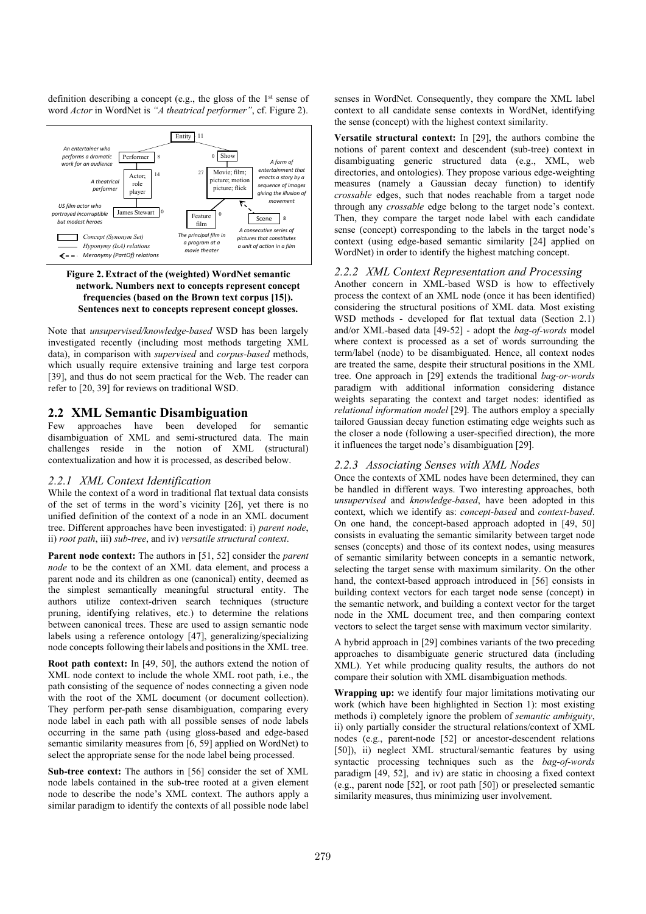definition describing a concept (e.g., the gloss of the  $1<sup>st</sup>$  sense of word *Actor* in WordNet is *"A theatrical performer"*, cf. Figure 2).



## **Figure 2.Extract of the (weighted) WordNet semantic network. Numbers next to concepts represent concept frequencies (based on the Brown text corpus [15]). Sentences next to concepts represent concept glosses.**

Note that *unsupervised/knowledge-based* WSD has been largely investigated recently (including most methods targeting XML data), in comparison with *supervised* and *corpus-based* methods, which usually require extensive training and large test corpora [39], and thus do not seem practical for the Web. The reader can refer to [20, 39] for reviews on traditional WSD.

# **2.2 XML Semantic Disambiguation**

Few approaches have been developed for semantic disambiguation of XML and semi-structured data. The main challenges reside in the notion of XML (structural) contextualization and how it is processed, as described below.

## *2.2.1 XML Context Identification*

While the context of a word in traditional flat textual data consists of the set of terms in the word's vicinity [26], yet there is no unified definition of the context of a node in an XML document tree. Different approaches have been investigated: i) *parent node*, ii) *root path*, iii) *sub-tree*, and iv) *versatile structural context*.

**Parent node context:** The authors in [51, 52] consider the *parent node* to be the context of an XML data element, and process a parent node and its children as one (canonical) entity, deemed as the simplest semantically meaningful structural entity. The authors utilize context-driven search techniques (structure pruning, identifying relatives, etc.) to determine the relations between canonical trees. These are used to assign semantic node labels using a reference ontology [47], generalizing/specializing node concepts following their labels and positions in the XML tree.

**Root path context:** In [49, 50], the authors extend the notion of XML node context to include the whole XML root path, i.e., the path consisting of the sequence of nodes connecting a given node with the root of the XML document (or document collection). They perform per-path sense disambiguation, comparing every node label in each path with all possible senses of node labels occurring in the same path (using gloss-based and edge-based semantic similarity measures from [6, 59] applied on WordNet) to select the appropriate sense for the node label being processed.

Sub-tree context: The authors in [56] consider the set of XML node labels contained in the sub-tree rooted at a given element node to describe the node's XML context. The authors apply a similar paradigm to identify the contexts of all possible node label senses in WordNet. Consequently, they compare the XML label context to all candidate sense contexts in WordNet, identifying the sense (concept) with the highest context similarity.

**Versatile structural context:** In [29], the authors combine the notions of parent context and descendent (sub-tree) context in disambiguating generic structured data (e.g., XML, web directories, and ontologies). They propose various edge-weighting measures (namely a Gaussian decay function) to identify *crossable* edges, such that nodes reachable from a target node through any *crossable* edge belong to the target node's context. Then, they compare the target node label with each candidate sense (concept) corresponding to the labels in the target node's context (using edge-based semantic similarity [24] applied on WordNet) in order to identify the highest matching concept.

## *2.2.2 XML Context Representation and Processing*

Another concern in XML-based WSD is how to effectively process the context of an XML node (once it has been identified) considering the structural positions of XML data. Most existing WSD methods - developed for flat textual data (Section 2.1) and/or XML-based data [49-52] - adopt the *bag-of-words* model where context is processed as a set of words surrounding the term/label (node) to be disambiguated. Hence, all context nodes are treated the same, despite their structural positions in the XML tree. One approach in [29] extends the traditional *bag-or-words* paradigm with additional information considering distance weights separating the context and target nodes: identified as *relational information model* [29]. The authors employ a specially tailored Gaussian decay function estimating edge weights such as the closer a node (following a user-specified direction), the more it influences the target node's disambiguation [29].

## *2.2.3 Associating Senses with XML Nodes*

Once the contexts of XML nodes have been determined, they can be handled in different ways. Two interesting approaches, both *unsupervised* and *knowledge-based*, have been adopted in this context, which we identify as: *concept-based* and *context-based*. On one hand, the concept-based approach adopted in [49, 50] consists in evaluating the semantic similarity between target node senses (concepts) and those of its context nodes, using measures of semantic similarity between concepts in a semantic network, selecting the target sense with maximum similarity. On the other hand, the context-based approach introduced in [56] consists in building context vectors for each target node sense (concept) in the semantic network, and building a context vector for the target node in the XML document tree, and then comparing context vectors to select the target sense with maximum vector similarity.

A hybrid approach in [29] combines variants of the two preceding approaches to disambiguate generic structured data (including XML). Yet while producing quality results, the authors do not compare their solution with XML disambiguation methods.

**Wrapping up:** we identify four major limitations motivating our work (which have been highlighted in Section 1): most existing methods i) completely ignore the problem of *semantic ambiguity*, ii) only partially consider the structural relations/context of XML nodes (e.g., parent-node [52] or ancestor-descendent relations [50]), ii) neglect XML structural/semantic features by using syntactic processing techniques such as the *bag-of-words* paradigm [49, 52], and iv) are static in choosing a fixed context (e.g., parent node [52], or root path [50]) or preselected semantic similarity measures, thus minimizing user involvement.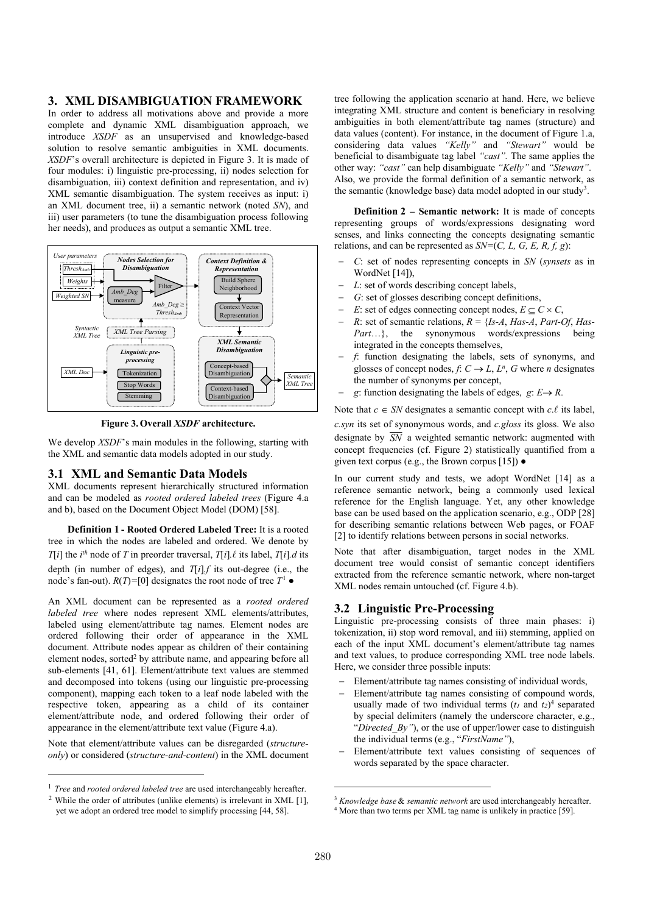## **3. XML DISAMBIGUATION FRAMEWORK**

In order to address all motivations above and provide a more complete and dynamic XML disambiguation approach, we introduce *XSDF* as an unsupervised and knowledge-based solution to resolve semantic ambiguities in XML documents. *XSDF*'s overall architecture is depicted in Figure 3. It is made of four modules: i) linguistic pre-processing, ii) nodes selection for disambiguation, iii) context definition and representation, and iv) XML semantic disambiguation. The system receives as input: i) an XML document tree, ii) a semantic network (noted *SN*), and iii) user parameters (to tune the disambiguation process following her needs), and produces as output a semantic XML tree.



**Figure 3. Overall** *XSDF* **architecture.** 

We develop *XSDF*'s main modules in the following, starting with the XML and semantic data models adopted in our study.

## **3.1 XML and Semantic Data Models**

XML documents represent hierarchically structured information and can be modeled as *rooted ordered labeled trees* (Figure 4.a and b), based on the Document Object Model (DOM) [58].

**Definition 1 - Rooted Ordered Labeled Tree:** It is a rooted tree in which the nodes are labeled and ordered. We denote by *T*[*i*] the *i*<sup>th</sup> node of *T* in preorder traversal, *T*[*i*].  $\ell$  its label, *T*[*i*]. *d* its depth (in number of edges), and  $T[i]$ *f* its out-degree (i.e., the node's fan-out).  $R(T) = [0]$  designates the root node of tree  $T^1$   $\bullet$ 

An XML document can be represented as a *rooted ordered labeled tree* where nodes represent XML elements/attributes, labeled using element/attribute tag names. Element nodes are ordered following their order of appearance in the XML document. Attribute nodes appear as children of their containing element nodes, sorted<sup>2</sup> by attribute name, and appearing before all sub-elements [41, 61]. Element/attribute text values are stemmed and decomposed into tokens (using our linguistic pre-processing component), mapping each token to a leaf node labeled with the respective token, appearing as a child of its container element/attribute node, and ordered following their order of appearance in the element/attribute text value (Figure 4.a).

Note that element/attribute values can be disregarded (*structureonly*) or considered (*structure-and-content*) in the XML document

<sup>1</sup> *Tree* and *rooted ordered labeled tree* are used interchangeably hereafter.

j

tree following the application scenario at hand. Here, we believe integrating XML structure and content is beneficiary in resolving ambiguities in both element/attribute tag names (structure) and data values (content). For instance, in the document of Figure 1.a, considering data values *"Kelly"* and *"Stewart"* would be beneficial to disambiguate tag label *"cast".* The same applies the other way: *"cast"* can help disambiguate *"Kelly"* and *"Stewart"*. Also, we provide the formal definition of a semantic network, as the semantic (knowledge base) data model adopted in our study<sup>3</sup>.

**Definition 2 – Semantic network:** It is made of concepts representing groups of words/expressions designating word senses, and links connecting the concepts designating semantic relations, and can be represented as *SN=*(*C, L, G, E, R, f, g*):

- *C*: set of nodes representing concepts in *SN* (*synsets* as in WordNet [14]),
- *L*: set of words describing concept labels,
- *G*: set of glosses describing concept definitions,
- *E*: set of edges connecting concept nodes,  $E \subseteq C \times C$ ,
- *R*: set of semantic relations,  $R = \{Is-A, Has-A, Part-Of, Has-A\}$ *Part*…}, the synonymous words/expressions being integrated in the concepts themselves,
- *f*: function designating the labels, sets of synonyms, and glosses of concept nodes,  $f: C \to L$ ,  $L^n$ ,  $G$  where *n* designates the number of synonyms per concept,
- *g*: function designating the labels of edges,  $g: E \rightarrow R$ .

Note that  $c \in SN$  designates a semantic concept with  $c \ell$  its label,

*c.syn* its set of synonymous words, and *c.gloss* its gloss. We also designate by  $\overline{SN}$  a weighted semantic network: augmented with concept frequencies (cf. Figure 2) statistically quantified from a given text corpus (e.g., the Brown corpus  $[15]$ )  $\bullet$ 

In our current study and tests, we adopt WordNet [14] as a reference semantic network, being a commonly used lexical reference for the English language. Yet, any other knowledge base can be used based on the application scenario, e.g., ODP [28] for describing semantic relations between Web pages, or FOAF [2] to identify relations between persons in social networks.

Note that after disambiguation, target nodes in the XML document tree would consist of semantic concept identifiers extracted from the reference semantic network, where non-target XML nodes remain untouched (cf. Figure 4.b).

## **3.2 Linguistic Pre-Processing**

Linguistic pre-processing consists of three main phases: i) tokenization, ii) stop word removal, and iii) stemming, applied on each of the input XML document's element/attribute tag names and text values, to produce corresponding XML tree node labels. Here, we consider three possible inputs:

- Element/attribute tag names consisting of individual words,
- Element/attribute tag names consisting of compound words, usually made of two individual terms  $(t_1$  and  $t_2$ <sup>4</sup> separated by special delimiters (namely the underscore character, e.g., "*Directed By*"), or the use of upper/lower case to distinguish the individual terms (e.g., "*FirstName"*),
- Element/attribute text values consisting of sequences of words separated by the space character.

<sup>&</sup>lt;sup>2</sup> While the order of attributes (unlike elements) is irrelevant in XML [1], yet we adopt an ordered tree model to simplify processing [44, 58].

<sup>3</sup> *Knowledge base* & *semantic network* are used interchangeably hereafter.

<sup>4</sup> More than two terms per XML tag name is unlikely in practice [59].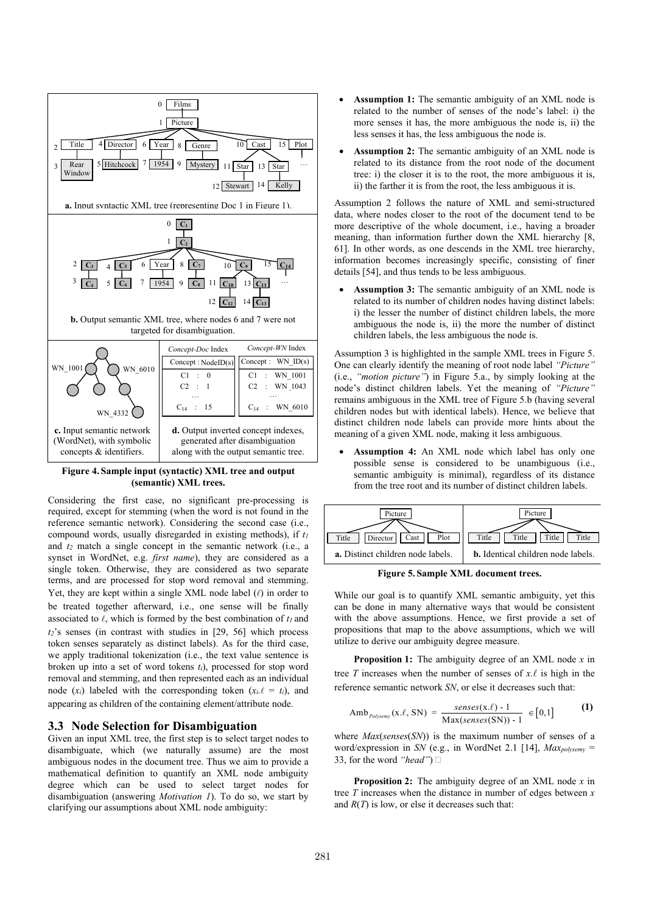

**Figure 4. Sample input (syntactic) XML tree and output (semantic) XML trees.** 

Considering the first case, no significant pre-processing is required, except for stemming (when the word is not found in the reference semantic network). Considering the second case (i.e., compound words, usually disregarded in existing methods), if *t<sup>1</sup>* and *t2* match a single concept in the semantic network (i.e., a synset in WordNet, e.g. *first name*), they are considered as a single token. Otherwise, they are considered as two separate terms, and are processed for stop word removal and stemming. Yet, they are kept within a single XML node label  $(\ell)$  in order to be treated together afterward, i.e., one sense will be finally associated to  $\ell$ , which is formed by the best combination of  $t_l$  and *t2*'s senses (in contrast with studies in [29, 56] which process token senses separately as distinct labels). As for the third case, we apply traditional tokenization (i.e., the text value sentence is broken up into a set of word tokens *ti*), processed for stop word removal and stemming, and then represented each as an individual node  $(x_i)$  labeled with the corresponding token  $(x_i, \ell = t_i)$ , and appearing as children of the containing element/attribute node.

## **3.3 Node Selection for Disambiguation**

Given an input XML tree, the first step is to select target nodes to disambiguate, which (we naturally assume) are the most ambiguous nodes in the document tree. Thus we aim to provide a mathematical definition to quantify an XML node ambiguity degree which can be used to select target nodes for disambiguation (answering *Motivation 1*). To do so, we start by clarifying our assumptions about XML node ambiguity:

- Assumption 1: The semantic ambiguity of an XML node is related to the number of senses of the node's label: i) the more senses it has, the more ambiguous the node is, ii) the less senses it has, the less ambiguous the node is.
- Assumption 2: The semantic ambiguity of an XML node is related to its distance from the root node of the document tree: i) the closer it is to the root, the more ambiguous it is, ii) the farther it is from the root, the less ambiguous it is.

Assumption 2 follows the nature of XML and semi-structured data, where nodes closer to the root of the document tend to be more descriptive of the whole document, i.e., having a broader meaning, than information further down the XML hierarchy [8, 61]. In other words, as one descends in the XML tree hierarchy, information becomes increasingly specific, consisting of finer details [54], and thus tends to be less ambiguous.

Assumption 3: The semantic ambiguity of an XML node is related to its number of children nodes having distinct labels: i) the lesser the number of distinct children labels, the more ambiguous the node is, ii) the more the number of distinct children labels, the less ambiguous the node is.

Assumption 3 is highlighted in the sample XML trees in Figure 5. One can clearly identify the meaning of root node label *"Picture"* (i.e., *"motion picture"*) in Figure 5.a., by simply looking at the node's distinct children labels. Yet the meaning of *"Picture"* remains ambiguous in the XML tree of Figure 5.b (having several children nodes but with identical labels). Hence, we believe that distinct children node labels can provide more hints about the meaning of a given XML node, making it less ambiguous.

Assumption 4: An XML node which label has only one possible sense is considered to be unambiguous (i.e., semantic ambiguity is minimal), regardless of its distance from the tree root and its number of distinct children labels.



**Figure 5. Sample XML document trees.** 

While our goal is to quantify XML semantic ambiguity, yet this can be done in many alternative ways that would be consistent with the above assumptions. Hence, we first provide a set of propositions that map to the above assumptions, which we will utilize to derive our ambiguity degree measure.

**Proposition 1:** The ambiguity degree of an XML node *x* in tree *T* increases when the number of senses of  $x.\ell$  is high in the reference semantic network *SN*, or else it decreases such that:

$$
Amb_{\text{Polysemy}}(x.\ell, SN) = \frac{\text{senses}(x.\ell) - 1}{\text{Max}(\text{senses}(SN)) - 1} \in [0,1]
$$
 (1)

where *Max*(*senses*(*SN*)) is the maximum number of senses of a word/expression in *SN* (e.g., in WordNet 2.1 [14], *Maxpolysemy* = 33, for the word *"head"*)

**Proposition 2:** The ambiguity degree of an XML node *x* in tree *T* increases when the distance in number of edges between *x* and  $R(T)$  is low, or else it decreases such that: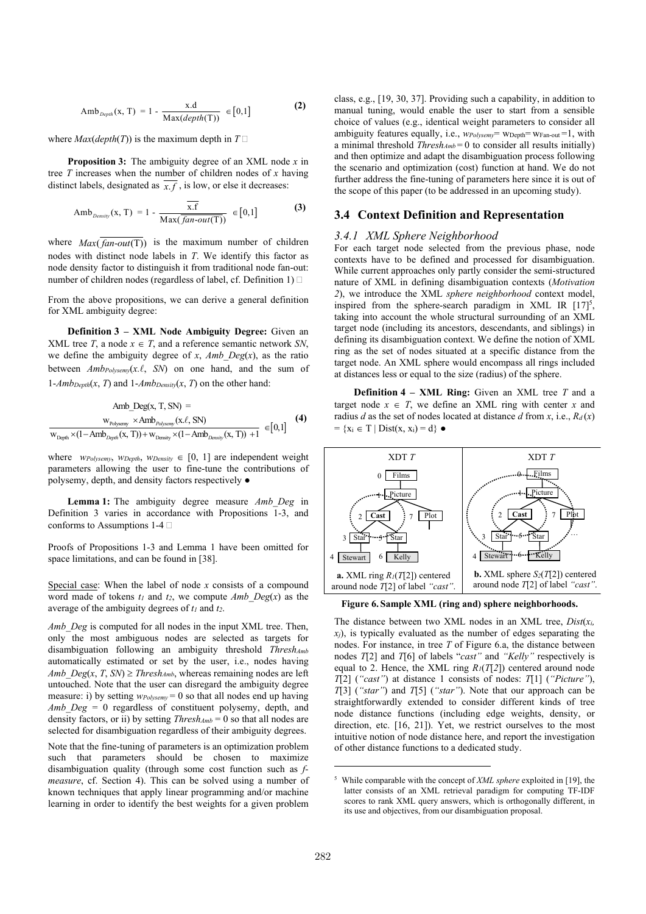$$
Amb_{\text{Depth}}(x, T) = 1 - \frac{x.d}{\text{Max}(\text{depth}(T))} \in [0, 1]
$$
 (2)

where  $Max(depth(T))$  is the maximum depth in  $T \square$ 

**Proposition 3:** The ambiguity degree of an XML node *x* in tree *T* increases when the number of children nodes of *x* having distinct labels, designated as  $\overline{x}$ , *f*, is low, or else it decreases:

$$
Amb_{Density}(x, T) = 1 - \frac{\overline{x.f}}{Max(\overline{fan-out(T)})} \in [0,1]
$$
 (3)

where  $Max(\overline{fan-out(T)})$  is the maximum number of children nodes with distinct node labels in *T*. We identify this factor as node density factor to distinguish it from traditional node fan-out: number of children nodes (regardless of label, cf. Definition 1)

From the above propositions, we can derive a general definition for XML ambiguity degree:

**Definition 3 – XML Node Ambiguity Degree:** Given an XML tree *T*, a node  $x \in T$ , and a reference semantic network *SN*, we define the ambiguity degree of  $x$ ,  $Amb$   $Deg(x)$ , as the ratio between  $Amb_{Polysemy}(x.\ell, \, SN)$  on one hand, and the sum of  $1-Amb_{Depth}(x, T)$  and  $1-Amb_{Density}(x, T)$  on the other hand:

$$
\begin{array}{c} \text{Amb\_Deg}(x, T, SN) = \\ \hspace{2.5cm} \frac{w_{\text{Polysemy}} \times \text{Amb}_{\text{Polysemy}}(x.\ell, SN)}{w_{\text{Depth}} \times (1 - \text{Amb}_{\text{Depith}}(x, T)) + v_{\text{Density}} \times (1 - \text{Amb}_{\text{Depith}}(x, T)) + 1} \end{array} \hspace{0.2cm} \in \hspace{0.2cm} [0,1] \hspace{1.5cm} \textbf{(4)}
$$

where *wPolysemy*, *WDepth*, *WDensity*  $\in$  [0, 1] are independent weight parameters allowing the user to fine-tune the contributions of polysemy, depth, and density factors respectively *●*

**Lemma 1:** The ambiguity degree measure *Amb\_Deg* in Definition 3 varies in accordance with Propositions 1-3, and conforms to Assumptions 1-4  $\square$ 

Proofs of Propositions 1-3 and Lemma 1 have been omitted for space limitations, and can be found in [38].

Special case: When the label of node *x* consists of a compound word made of tokens  $t_1$  and  $t_2$ , we compute  $Amb$   $Deg(x)$  as the average of the ambiguity degrees of *t1* and *t2*.

*Amb\_Deg* is computed for all nodes in the input XML tree. Then, only the most ambiguous nodes are selected as targets for disambiguation following an ambiguity threshold *ThreshAmb* automatically estimated or set by the user, i.e., nodes having *Amb*  $Deg(x, T, SN) \geq$  *Thresh<sub>Amb*</sub>, whereas remaining nodes are left untouched. Note that the user can disregard the ambiguity degree measure: i) by setting  $w_{\text{Polysem}} = 0$  so that all nodes end up having *Amb Deg = 0* regardless of constituent polysemy, depth, and density factors, or ii) by setting *ThreshAmb* = 0 so that all nodes are selected for disambiguation regardless of their ambiguity degrees.

Note that the fine-tuning of parameters is an optimization problem such that parameters should be chosen to maximize disambiguation quality (through some cost function such as *fmeasure*, cf. Section 4). This can be solved using a number of known techniques that apply linear programming and/or machine learning in order to identify the best weights for a given problem class, e.g., [19, 30, 37]. Providing such a capability, in addition to manual tuning, would enable the user to start from a sensible choice of values (e.g., identical weight parameters to consider all ambiguity features equally, i.e., *wPolysemy*= wDepth= wFan-out =1, with a minimal threshold *ThreshAmb* = 0 to consider all results initially) and then optimize and adapt the disambiguation process following the scenario and optimization (cost) function at hand. We do not further address the fine-tuning of parameters here since it is out of the scope of this paper (to be addressed in an upcoming study).

## **3.4 Context Definition and Representation**

# *3.4.1 XML Sphere Neighborhood*

For each target node selected from the previous phase, node contexts have to be defined and processed for disambiguation. While current approaches only partly consider the semi-structured nature of XML in defining disambiguation contexts (*Motivation 2*), we introduce the XML *sphere neighborhood* context model, inspired from the sphere-search paradigm in XML IR  $[17]^{5}$ , taking into account the whole structural surrounding of an XML target node (including its ancestors, descendants, and siblings) in defining its disambiguation context. We define the notion of XML ring as the set of nodes situated at a specific distance from the target node. An XML sphere would encompass all rings included at distances less or equal to the size (radius) of the sphere.

**Definition 4 – XML Ring:** Given an XML tree *T* and a target node  $x \in T$ , we define an XML ring with center *x* and radius *d* as the set of nodes located at distance *d* from *x*, i.e.,  $R_d(x)$  $= \{x_i \in T \mid Dist(x, x_i) = d\}$   $\bullet$ 



**Figure 6. Sample XML (ring and) sphere neighborhoods.** 

The distance between two XML nodes in an XML tree,  $Dist(x_i)$  $x_j$ ), is typically evaluated as the number of edges separating the nodes. For instance, in tree *T* of Figure 6.a, the distance between nodes *T*[2] and *T*[6] of labels "*cast"* and *"Kelly"* respectively is equal to 2. Hence, the XML ring  $R_I(T[2])$  centered around node *T*[2] (*"cast"*) at distance 1 consists of nodes: *T*[1] (*"Picture"*), *T*[3] (*"star"*) and *T*[5] (*"star"*). Note that our approach can be straightforwardly extended to consider different kinds of tree node distance functions (including edge weights, density, or direction, etc. [16, 21]). Yet, we restrict ourselves to the most intuitive notion of node distance here, and report the investigation of other distance functions to a dedicated study.

<sup>5</sup> While comparable with the concept of *XML sphere* exploited in [19], the latter consists of an XML retrieval paradigm for computing TF-IDF scores to rank XML query answers, which is orthogonally different, in its use and objectives, from our disambiguation proposal.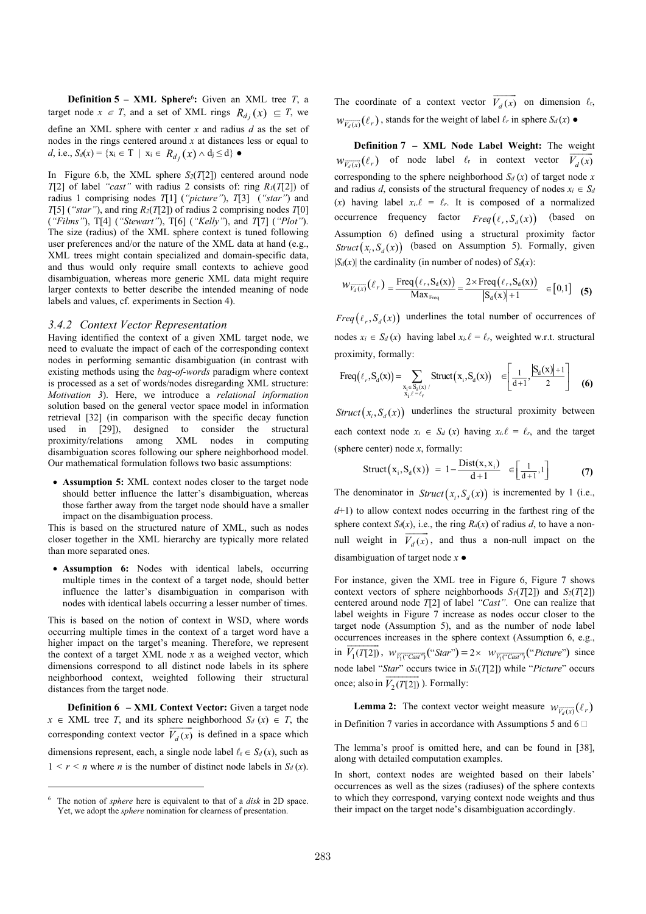**Definition 5** – **XML** Sphere<sup>6</sup>: Given an XML tree  $T$ , a target node  $x \in T$ , and a set of XML rings  $R_{d_j}(x) \subseteq T$ , we define an XML sphere with center *x* and radius *d* as the set of nodes in the rings centered around *x* at distances less or equal to *d*, i.e., *Sd*(*x*) = { $x_i \in T$  |  $x_i \in R_{d_j}(x) \land d_i \le d$ } ●

In Figure 6.b, the XML sphere *S2*(*T*[2]) centered around node *T*[2] of label *"cast"* with radius 2 consists of: ring *R1*(*T*[2]) of radius 1 comprising nodes *T*[1] (*"picture"*), *T*[3] (*"star"*) and *T*[5] (*"star"*), and ring  $R_2(T[2])$  of radius 2 comprising nodes *T*[0] (*"Films"*), T[4] (*"Stewart"*), T[6] (*"Kelly"*), and *T*[7] (*"Plot"*). The size (radius) of the XML sphere context is tuned following user preferences and/or the nature of the XML data at hand (e.g., XML trees might contain specialized and domain-specific data, and thus would only require small contexts to achieve good disambiguation, whereas more generic XML data might require larger contexts to better describe the intended meaning of node labels and values, cf. experiments in Section 4).

#### *3.4.2 Context Vector Representation*

Having identified the context of a given XML target node, we need to evaluate the impact of each of the corresponding context nodes in performing semantic disambiguation (in contrast with existing methods using the *bag-of-words* paradigm where context is processed as a set of words/nodes disregarding XML structure: *Motivation 3*). Here, we introduce a *relational information* solution based on the general vector space model in information retrieval [32] (in comparison with the specific decay function used in [29]), designed to consider the structural proximity/relations among XML nodes in computing disambiguation scores following our sphere neighborhood model. Our mathematical formulation follows two basic assumptions:

• **Assumption 5:** XML context nodes closer to the target node should better influence the latter's disambiguation, whereas those farther away from the target node should have a smaller impact on the disambiguation process.

This is based on the structured nature of XML, such as nodes closer together in the XML hierarchy are typically more related than more separated ones.

**• Assumption 6:** Nodes with identical labels, occurring multiple times in the context of a target node, should better influence the latter's disambiguation in comparison with nodes with identical labels occurring a lesser number of times.

This is based on the notion of context in WSD, where words occurring multiple times in the context of a target word have a higher impact on the target's meaning. Therefore, we represent the context of a target XML node *x* as a weighed vector, which dimensions correspond to all distinct node labels in its sphere neighborhood context, weighted following their structural distances from the target node.

**Definition 6 – XML Context Vector:** Given a target node  $x \in \text{XML}$  tree *T*, and its sphere neighborhood  $S_d(x) \in T$ , the corresponding context vector  $V_d(x)$  is defined in a space which dimensions represent, each, a single node label  $\ell_r \in S_d(x)$ , such as  $1 \leq r \leq n$  where *n* is the number of distinct node labels in  $S_d(x)$ .

j

The coordinate of a context vector  $V_d(x)$  $\overrightarrow{V_d(x)}$  on dimension  $\ell_r$ ,  $W_{\overline{V_d(x)}}(\ell_r)$ , stands for the weight of label  $\ell_r$  in sphere  $S_d(x)$   $\bullet$ 

**Definition 7 – XML Node Label Weight:** The weight  $W_{\overline{V_d(x)}}(\ell_r)$  of node label  $\ell_r$  in context vector  $V_d(x)$ corresponding to the sphere neighborhood  $S_d(x)$  of target node *x* and radius *d*, consists of the structural frequency of nodes  $x_i \in S_d$ (*x*) having label  $x_i \ell = \ell_r$ . It is composed of a normalized occurrence frequency factor  $Freq(t_r, S_d(x))$  (based on Assumption 6) defined using a structural proximity factor *Struct*  $(x_i, S_d(x))$  (based on Assumption 5). Formally, given  $|S_d(x)|$  the cardinality (in number of nodes) of  $S_d(x)$ :

$$
W_{\overline{V_d(x)}}(\ell_r) = \frac{\text{Freq}(\ell_r, S_d(x))}{\text{Max}_{\text{Freq}}} = \frac{2 \times \text{Freq}(\ell_r, S_d(x))}{|S_d(x)| + 1} \in [0,1] \quad (5)
$$

*Freq*  $(\ell_r, S_d(x))$  underlines the total number of occurrences of nodes  $x_i \in S_d(x)$  having label  $x_i \ell = \ell_r$ , weighted w.r.t. structural proximity, formally:

$$
\text{Freq}\big(\ell_r, S_d(x)\big) = \sum_{\substack{x_i \in S_d(x) \\ x_i, \ell = \ell_r}} \text{Struct}\big(x_i, S_d(x)\big) \quad \in \left[\frac{1}{d+1}, \frac{\left|S_d(x)\right| + 1}{2}\right] \tag{6}
$$

*Struct*  $(x_i, S_i(x))$  underlines the structural proximity between each context node  $x_i \in S_d(x)$  having  $x_i \ell = \ell_r$ , and the target (sphere center) node *x*, formally:

$$
\text{Struct}\big(\mathbf{x}_{i}, \mathbf{S}_{d}(\mathbf{x})\big) = 1 - \frac{\text{Dist}(\mathbf{x}, \mathbf{x}_{i})}{d+1} \quad \in \left[\frac{1}{d+1}, 1\right] \tag{7}
$$

The denominator in  $Struct(x_i, S_d(x))$  is incremented by 1 (i.e., *d*+1) to allow context nodes occurring in the farthest ring of the sphere context  $S_d(x)$ , i.e., the ring  $R_d(x)$  of radius *d*, to have a nonnull weight in  $V_d(x)$ ,  $\overline{V}_d(x)$ , and thus a non-null impact on the disambiguation of target node *x* ●

For instance, given the XML tree in Figure 6, Figure 7 shows context vectors of sphere neighborhoods *S1*(*T*[2]) and *S2*(*T*[2]) centered around node *T*[2] of label *"Cast"*. One can realize that label weights in Figure 7 increase as nodes occur closer to the target node (Assumption 5), and as the number of node label occurrences increases in the sphere context (Assumption 6, e.g.,  $\overline{z}$ in  $V_1(T[2])$ ,  $W_{\overline{V_1(\text{``Cast''})}}(\text{``Star''}) = 2 \times W_{\overline{V_1(\text{``Cast''})}}(\text{``Picture''})$  since node label "*Star*" occurs twice in *S*<sub>1</sub>(*T*[2]) while "*Picture*" occurs once; also in  $V_2(T[2])$  ). Formally:

**Lemma 2:** The context vector weight measure  $w_{\overline{V_d(x)}}(\ell_r)$ in Definition 7 varies in accordance with Assumptions 5 and  $6 \square$ 

The lemma's proof is omitted here, and can be found in [38], along with detailed computation examples.

In short, context nodes are weighted based on their labels' occurrences as well as the sizes (radiuses) of the sphere contexts to which they correspond, varying context node weights and thus their impact on the target node's disambiguation accordingly.

<sup>6</sup> The notion of *sphere* here is equivalent to that of a *disk* in 2D space. Yet, we adopt the *sphere* nomination for clearness of presentation.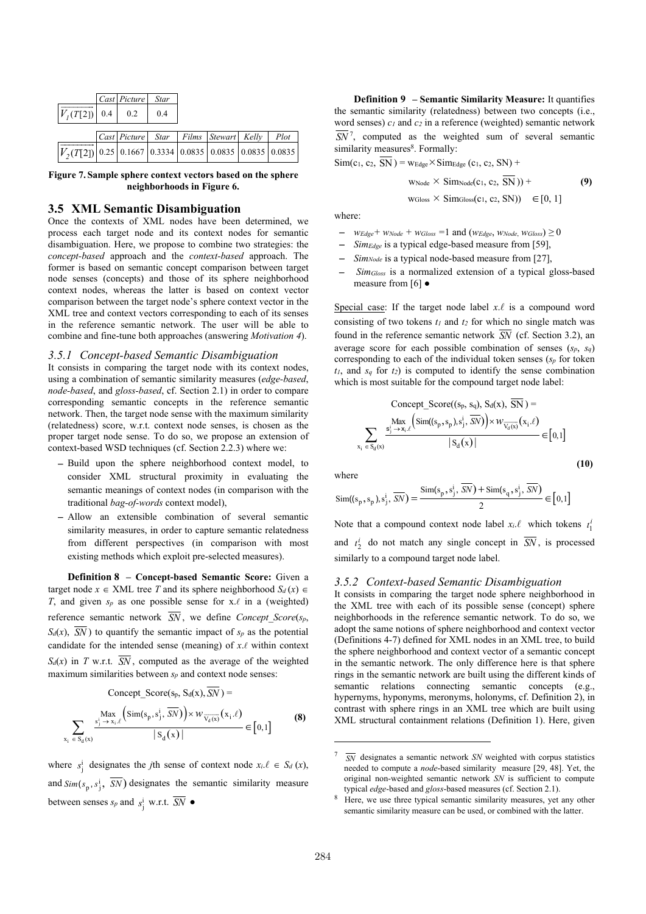|                                                                          | Cast Picture | <b>Star</b> |                                       |      |
|--------------------------------------------------------------------------|--------------|-------------|---------------------------------------|------|
| $V_I(T[2])$ 0.4 0.2                                                      |              | 0.4         |                                       |      |
|                                                                          |              |             |                                       |      |
|                                                                          |              |             | Cast Picture Star Films Stewart Kelly | Plot |
| $ V_2(T[2]) $ 0.25   0.1667   0.3334   0.0835   0.0835   0.0835   0.0835 |              |             |                                       |      |

**Figure 7. Sample sphere context vectors based on the sphere neighborhoods in Figure 6.** 

## **3.5 XML Semantic Disambiguation**

Once the contexts of XML nodes have been determined, we process each target node and its context nodes for semantic disambiguation. Here, we propose to combine two strategies: the *concept-based* approach and the *context-based* approach. The former is based on semantic concept comparison between target node senses (concepts) and those of its sphere neighborhood context nodes, whereas the latter is based on context vector comparison between the target node's sphere context vector in the XML tree and context vectors corresponding to each of its senses in the reference semantic network. The user will be able to combine and fine-tune both approaches (answering *Motivation 4*).

## *3.5.1 Concept-based Semantic Disambiguation*

It consists in comparing the target node with its context nodes, using a combination of semantic similarity measures (*edge-based*, *node-based*, and *gloss-based*, cf. Section 2.1) in order to compare corresponding semantic concepts in the reference semantic network. Then, the target node sense with the maximum similarity (relatedness) score, w.r.t. context node senses, is chosen as the proper target node sense. To do so, we propose an extension of context-based WSD techniques (cf. Section 2.2.3) where we:

- Build upon the sphere neighborhood context model, to consider XML structural proximity in evaluating the semantic meanings of context nodes (in comparison with the traditional *bag-of-words* context model),
- Allow an extensible combination of several semantic similarity measures, in order to capture semantic relatedness from different perspectives (in comparison with most existing methods which exploit pre-selected measures).

**Definition 8 – Concept-based Semantic Score:** Given a target node  $x \in \text{XML}$  tree *T* and its sphere neighborhood  $S_d(x) \in$ *T*, and given  $s_p$  as one possible sense for x. $\ell$  in a (weighted) reference semantic network  $\overline{SN}$ , we define *Concept Score*( $s_p$ ,  $S_d(x)$ ,  $\overline{SN}$  ) to quantify the semantic impact of  $s_p$  as the potential candidate for the intended sense (meaning) of  $x.\ell$  within context  $S_d(x)$  in *T* w.r.t.  $\overline{SN}$ , computed as the average of the weighted maximum similarities between  $s_p$  and context node senses:

$$
\text{Concept\_Score(s_p, S_d(x), \overline{SN})} = \sum_{\substack{s_i \text{max} \\ s_j \to x_i.\ell}} \frac{\text{Max}}{\left(\text{Sim}(s_p, s_j^i, \overline{SN})\right) \times W_{\overline{V_d(x)}}(x_i.\ell)} \newline \text{S}_d(x) \vert} \in [0, 1] \tag{8}
$$

where  $s_j^i$  designates the *j*th sense of context node  $x_i \ell \in S_d(x)$ , and  $Sim(s_p, s_j^i, SN)$  designates the semantic similarity measure between senses  $s_p$  and  $s_j^i$  w.r.t. *SN*  $\bullet$ 

**Definition 9 – Semantic Similarity Measure:** It quantifies the semantic similarity (relatedness) between two concepts (i.e., word senses) *c1* and *c2* in a reference (weighted) semantic network *SN*<sup>7</sup>, computed as the weighted sum of several semantic similarity measures<sup>8</sup>. Formally:

 $\text{Sim}(c_1, c_2, \overline{SN}) = \text{wEdge} \times \text{SimEdge}(c_1, c_2, SN) +$ 

$$
w_{\text{Node}} \times \text{Sim}_{\text{Node}}(c_1, c_2, \overline{SN})) +
$$
  
\n
$$
w_{\text{Gloss}} \times \text{Sim}_{\text{Gloss}}(c_1, c_2, \overline{SN})) \in [0, 1]
$$

where:

- *wEdge*<sup>+</sup>  $W_{Node}$  +  $W_{Gloss}$  =1 and ( $W_{Edge}$ ,  $W_{Node}$ ,  $W_{Gloss}$ )  $\geq 0$
- *SimEdge* is a typical edge-based measure from [59],
- *SimNode* is a typical node-based measure from [27],
- *Sim<sub>Gloss</sub>* is a normalized extension of a typical gloss-based measure from [6] ●

Special case: If the target node label  $x.\ell$  is a compound word consisting of two tokens *t1* and *t2* for which no single match was found in the reference semantic network  $\overline{SN}$  (cf. Section 3.2), an average score for each possible combination of senses  $(s_p, s_q)$ corresponding to each of the individual token senses (*sp* for token  $t_1$ , and  $s_q$  for  $t_2$ ) is computed to identify the sense combination which is most suitable for the compound target node label:

$$
\text{Concept\_Score}(\{s_p, s_q\}, S_d(x), \text{SN}) = \sum_{x_i \in S_d(x)} \frac{\text{Max}}{s_j^i \rightarrow x_i \ell} \left( \text{Sim}((s_p, s_p), s_j^i, \overline{SN}) \right) \times w_{\overline{V_d(x)}}(x_i \ell)}{|S_d(x)|} \in [0, 1]
$$
\n(10)

where

$$
\text{Sim}((s_p, s_p), s_j^i, \overline{SN}) = \frac{\text{Sim}(s_p, s_j^i, \overline{SN}) + \text{Sim}(s_q, s_j^i, \overline{SN})}{2} \in [0, 1]
$$

Note that a compound context node label  $x_i \ell$  which tokens  $t_1^i$ and  $t_2^i$  do not match any single concept in  $\overline{SN}$ , is processed similarly to a compound target node label.

#### *3.5.2 Context-based Semantic Disambiguation*

It consists in comparing the target node sphere neighborhood in the XML tree with each of its possible sense (concept) sphere neighborhoods in the reference semantic network. To do so, we adopt the same notions of sphere neighborhood and context vector (Definitions 4-7) defined for XML nodes in an XML tree, to build the sphere neighborhood and context vector of a semantic concept in the semantic network. The only difference here is that sphere rings in the semantic network are built using the different kinds of semantic relations connecting semantic concepts (e.g., hypernyms, hyponyms, meronyms, holonyms, cf. Definition 2), in contrast with sphere rings in an XML tree which are built using XML structural containment relations (Definition 1). Here, given

<sup>7</sup> *SN* designates a semantic network *SN* weighted with corpus statistics needed to compute a *node*-based similarity measure [29, 48]. Yet, the original non-weighted semantic network *SN* is sufficient to compute typical *edge*-based and *gloss*-based measures (cf. Section 2.1).

<sup>&</sup>lt;sup>8</sup> Here, we use three typical semantic similarity measures, yet any other semantic similarity measure can be used, or combined with the latter.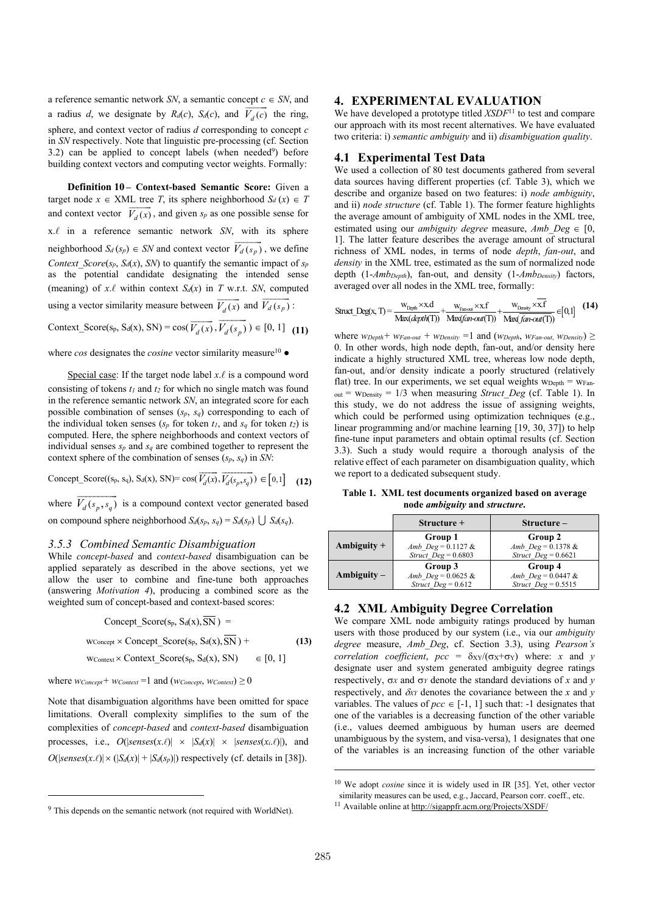a reference semantic network *SN*, a semantic concept  $c \in SN$ , and a radius *d*, we designate by  $R_d(c)$ ,  $S_d(c)$ , and  $V_d(c)$  the ring, sphere, and context vector of radius *d* corresponding to concept *c* in *SN* respectively. Note that linguistic pre-processing (cf. Section  $3.2$ ) can be applied to concept labels (when needed<sup>9</sup>) before building context vectors and computing vector weights. Formally:

**Definition 10 – Context-based Semantic Score:** Given a target node  $x \in \text{XML}$  tree *T*, its sphere neighborhood  $S_d(x) \in T$ and context vector  $V_d(x)$ , and given  $s_p$  as one possible sense for x.A in a reference semantic network *SN*, with its sphere neighborhood  $S_d$  ( $s_p$ )  $\in$  *SN* and context vector  $V_d$  ( $s_p$ )  $\overline{V_d(s_p)}$ , we define *Context\_Score*( $s_p$ ,  $S_d(x)$ , *SN*) to quantify the semantic impact of  $s_p$ as the potential candidate designating the intended sense (meaning) of  $x.\ell$  within context  $S_d(x)$  in  $T$  w.r.t. *SN*, computed using a vector similarity measure between  $V_d(x)$  $\overline{\phantom{a}}$ and  $V_d$  ( $s_p$ )  $\frac{1}{V_d(s_p)}$  $\frac{1}{\pi\tau}$ 

Context\_Score(s<sub>p</sub>, S<sub>d</sub>(x), SN) = cos( $V_d(x)$ ,  $\overrightarrow{V_d(x)}, \overrightarrow{V_d(s_p)})$  $) \in [0, 1]$  (11)

where *cos* designates the *cosine* vector similarity measure<sup>10</sup> ●

Special case: If the target node label  $x.\ell$  is a compound word consisting of tokens *t1* and *t2* for which no single match was found in the reference semantic network *SN*, an integrated score for each possible combination of senses  $(s_p, s_q)$  corresponding to each of the individual token senses  $(s_p \text{ for token } t_l, \text{ and } s_q \text{ for token } t_2)$  is computed. Here, the sphere neighborhoods and context vectors of individual senses  $s_p$  and  $s_q$  are combined together to represent the context sphere of the combination of senses (*sp*, *sq*) in *SN*:

Concept\_Score((s<sub>p</sub>, s<sub>q</sub>), S<sub>d</sub>(x), SN)= 
$$
\cos(\overrightarrow{V_d(x)}, \overrightarrow{V_d(s_p, s_q)}) \in [0,1]
$$
 (12)

where  $V_d(s_p, s_q)$  is a compound context vector generated based on compound sphere neighborhood  $S_d(s_p, s_q) = S_d(s_p) \cup S_d(s_q)$ .

#### *3.5.3 Combined Semantic Disambiguation*

While *concept-based* and *context-based* disambiguation can be applied separately as described in the above sections, yet we allow the user to combine and fine-tune both approaches (answering *Motivation 4*), producing a combined score as the weighted sum of concept-based and context-based scores:

$$
Concept\_Score(s_p, S_d(x), \overline{SN}) =
$$
  
W<sub>Concept</sub> × Concept\\_Score(s\_p, S\_d(x), \overline{SN}) +  
W<sub>Context</sub> × Context\\_Score(s\_p, S\_d(x), SN)  $\in [0, 1]$  (13)

where  $w_{Concept} + w_{Context} = 1$  and  $(w_{Concept}, w_{Context}) \ge 0$ 

j

Note that disambiguation algorithms have been omitted for space limitations. Overall complexity simplifies to the sum of the complexities of *concept-based* and *context-based* disambiguation processes, i.e.,  $O(|\text{senses}(x.\ell)| \times |S_d(x)| \times |\text{senses}(x_i.\ell)|)$ , and  $O(|\text{senses}(x.\ell)| \times (|S_d(x)| + |S_d(s_p)|)$  respectively (cf. details in [38]).

## **4. EXPERIMENTAL EVALUATION**

We have developed a prototype titled *XSDF*<sup>11</sup> to test and compare our approach with its most recent alternatives. We have evaluated two criteria: i) *semantic ambiguity* and ii) *disambiguation quality*.

## **4.1 Experimental Test Data**

We used a collection of 80 test documents gathered from several data sources having different properties (cf. Table 3), which we describe and organize based on two features: i) *node ambiguity*, and ii) *node structure* (cf. Table 1). The former feature highlights the average amount of ambiguity of XML nodes in the XML tree, estimated using our *ambiguity degree* measure, *Amb*  $Deg \in [0,$ 1]. The latter feature describes the average amount of structural richness of XML nodes, in terms of node *depth*, *fan-out*, and *density* in the XML tree, estimated as the sum of normalized node depth (1-*AmbDepth*), fan-out, and density (1-*AmbDensity*) factors, averaged over all nodes in the XML tree, formally:

$$
\text{Struct\_Deg}(x, T) = \frac{w_{\text{Day}h} \times x \cdot d}{\text{Max}(\text{depth}(T))} + \frac{w_{\text{Error}} \times x \cdot f}{\text{Max}(\text{fun-out}(T))} + \frac{w_{\text{Density}} \times x \cdot f}{\text{Max}(\text{fun-out}(T))} \in [0, 1] \quad (14)
$$

where  $w_{Depth}$ <sup>*+*</sup>  $w_{Fan-out}$ <sup>*+*</sup>  $w_{Density}$ <sup>*=*</sup> 1 and  $(w_{Depth}$ *,*  $w_{Fan-out}$ *,*  $w_{Density}$   $\geq$ 0. In other words, high node depth, fan-out, and/or density here indicate a highly structured XML tree, whereas low node depth, fan-out, and/or density indicate a poorly structured (relatively flat) tree. In our experiments, we set equal weights  $w_{\text{Depth}} = w_{\text{Fan}}$  $_{\text{out}}$  =  $_{\text{WDensity}}$  = 1/3 when measuring *Struct Deg* (cf. Table 1). In this study, we do not address the issue of assigning weights, which could be performed using optimization techniques (e.g., linear programming and/or machine learning [19, 30, 37]) to help fine-tune input parameters and obtain optimal results (cf. Section 3.3). Such a study would require a thorough analysis of the relative effect of each parameter on disambiguation quality, which we report to a dedicated subsequent study.

**Table 1. XML test documents organized based on average node** *ambiguity* **and** *structure***.**

|               | $Structure+$                                              | $Structure-$                                               |
|---------------|-----------------------------------------------------------|------------------------------------------------------------|
| Ambiguity $+$ | Group 1<br>Amb $Deg = 0.1127 \&$<br>Struct $Deg = 0.6803$ | Group 2<br>Amb $Deg = 0.1378 \&$<br>Struct $Deg = 0.6621$  |
| $Ambiguity -$ | Group 3<br>Amb $Deg = 0.0625 \&$<br>Struct $Deg = 0.612$  | Group 4<br>Amb $Deg = 0.0447 &$<br>$Struct$ $Deg = 0.5515$ |

## **4.2 XML Ambiguity Degree Correlation**

We compare XML node ambiguity ratings produced by human users with those produced by our system (i.e., via our *ambiguity degree* measure, *Amb\_Deg*, cf. Section 3.3), using *Pearson's correlation coefficient,*  $pcc = \delta_{XY}/(\sigma_X + \sigma_Y)$  *where: <i>x* and *y* designate user and system generated ambiguity degree ratings respectively,  $\sigma_X$  and  $\sigma_Y$  denote the standard deviations of x and y respectively, and  $\delta_{XY}$  denotes the covariance between the *x* and *y* variables. The values of  $pcc \in [-1, 1]$  such that: -1 designates that one of the variables is a decreasing function of the other variable (i.e., values deemed ambiguous by human users are deemed unambiguous by the system, and visa-versa), 1 designates that one of the variables is an increasing function of the other variable

<sup>9</sup> This depends on the semantic network (not required with WorldNet).

<sup>10</sup> We adopt *cosine* since it is widely used in IR [35]. Yet, other vector similarity measures can be used, e.g., Jaccard, Pearson corr. coeff., etc.

<sup>11</sup> Available online at http://sigappfr.acm.org/Projects/XSDF/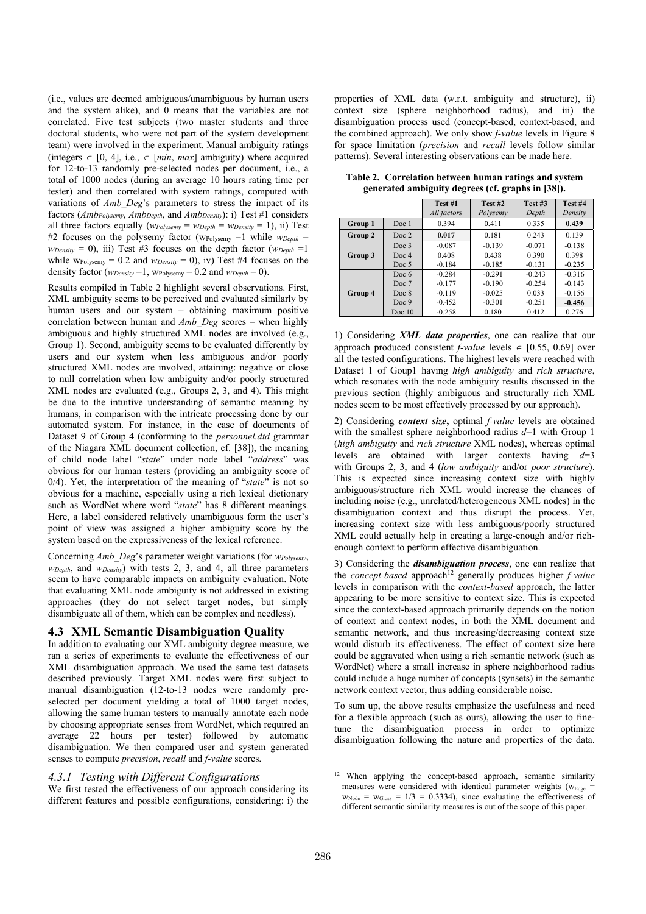(i.e., values are deemed ambiguous/unambiguous by human users and the system alike), and 0 means that the variables are not correlated. Five test subjects (two master students and three doctoral students, who were not part of the system development team) were involved in the experiment. Manual ambiguity ratings (integers  $\in$  [0, 4], i.e.,  $\in$  [*min, max*] ambiguity) where acquired for 12-to-13 randomly pre-selected nodes per document, i.e., a total of 1000 nodes (during an average 10 hours rating time per tester) and then correlated with system ratings, computed with variations of *Amb\_Deg*'s parameters to stress the impact of its factors (*AmbPolysemy*, *AmbDepth*, and *AmbDensity*): i) Test #1 considers all three factors equally  $(w_{Polysemy} = w_{Depth} = w_{Density} = 1)$ , ii) Test #2 focuses on the polysemy factor (wPolysemy =1 while *wDepth* =  $w_{Density} = 0$ , iii) Test #3 focuses on the depth factor ( $w_{Depth} = 1$ while  $w_{\text{Polysemy}} = 0.2$  and  $w_{\text{Density}} = 0$ , iv) Test #4 focuses on the density factor ( $w_{Density} = 1$ ,  $w_{Polysemv} = 0.2$  and  $w_{Depth} = 0$ ).

Results compiled in Table 2 highlight several observations. First, XML ambiguity seems to be perceived and evaluated similarly by human users and our system – obtaining maximum positive correlation between human and *Amb\_Deg* scores – when highly ambiguous and highly structured XML nodes are involved (e.g., Group 1). Second, ambiguity seems to be evaluated differently by users and our system when less ambiguous and/or poorly structured XML nodes are involved, attaining: negative or close to null correlation when low ambiguity and/or poorly structured XML nodes are evaluated (e.g., Groups 2, 3, and 4). This might be due to the intuitive understanding of semantic meaning by humans, in comparison with the intricate processing done by our automated system. For instance, in the case of documents of Dataset 9 of Group 4 (conforming to the *personnel.dtd* grammar of the Niagara XML document collection, cf. [38]), the meaning of child node label "*state*" under node label "*address*" was obvious for our human testers (providing an ambiguity score of 0/4). Yet, the interpretation of the meaning of "*state*" is not so obvious for a machine, especially using a rich lexical dictionary such as WordNet where word "*state*" has 8 different meanings. Here, a label considered relatively unambiguous form the user's point of view was assigned a higher ambiguity score by the system based on the expressiveness of the lexical reference.

Concerning *Amb\_Deg*'s parameter weight variations (for *wPolysemy*, *wDepth*, and *wDensity*) with tests 2, 3, and 4, all three parameters seem to have comparable impacts on ambiguity evaluation. Note that evaluating XML node ambiguity is not addressed in existing approaches (they do not select target nodes, but simply disambiguate all of them, which can be complex and needless).

## **4.3 XML Semantic Disambiguation Quality**

In addition to evaluating our XML ambiguity degree measure, we ran a series of experiments to evaluate the effectiveness of our XML disambiguation approach. We used the same test datasets described previously. Target XML nodes were first subject to manual disambiguation (12-to-13 nodes were randomly preselected per document yielding a total of 1000 target nodes, allowing the same human testers to manually annotate each node by choosing appropriate senses from WordNet, which required an average 22 hours per tester) followed by automatic disambiguation. We then compared user and system generated senses to compute *precision*, *recall* and *f-value* scores.

## *4.3.1 Testing with Different Configurations*

We first tested the effectiveness of our approach considering its different features and possible configurations, considering: i) the properties of XML data (w.r.t. ambiguity and structure), ii) context size (sphere neighborhood radius), and iii) the disambiguation process used (concept-based, context-based, and the combined approach). We only show *f-value* levels in Figure 8 for space limitation (*precision* and *recall* levels follow similar patterns). Several interesting observations can be made here.

|                             |                  | Test #1<br>All factors | Test #2<br>Polysemy | Test #3<br>Depth | Test #4<br>Density |  |
|-----------------------------|------------------|------------------------|---------------------|------------------|--------------------|--|
| Group 1<br>Doc <sub>1</sub> |                  | 0.394                  | 0.411               | 0.335            | 0.439              |  |
| Group 2                     | Doc <sub>2</sub> | 0.017                  | 0.181               | 0.243            | 0.139              |  |
|                             | Doc <sub>3</sub> | $-0.087$               | $-0.139$            | $-0.071$         | $-0.138$           |  |
| Group 3                     | Doc <sub>4</sub> | 0.408                  | 0.438               | 0.390            | 0.398              |  |
|                             | Doc 5            | $-0.184$               | $-0.185$            | $-0.131$         | $-0.235$           |  |
|                             | Doc $6$          | $-0.284$               | $-0.291$            | $-0.243$         | $-0.316$           |  |
|                             | Doc 7            | $-0.177$               | $-0.190$            | $-0.254$         | $-0.143$           |  |
| Group 4                     | Doc 8            | $-0.119$               | $-0.025$            | 0.033            | $-0.156$           |  |
|                             | Doc 9            | $-0.452$               | $-0.301$            | $-0.251$         | $-0.456$           |  |
|                             | Doc $10$         | $-0.258$               | 0.180               | 0.412            | 0.276              |  |

**Table 2. Correlation between human ratings and system generated ambiguity degrees (cf. graphs in [38]).** 

1) Considering *XML data properties*, one can realize that our approach produced consistent *f-value* levels  $\in$  [0.55, 0.69] over all the tested configurations. The highest levels were reached with Dataset 1 of Goup1 having *high ambiguity* and *rich structure*, which resonates with the node ambiguity results discussed in the previous section (highly ambiguous and structurally rich XML nodes seem to be most effectively processed by our approach).

2) Considering *context size***,** optimal *f-value* levels are obtained with the smallest sphere neighborhood radius *d*=1 with Group 1 (*high ambiguity* and *rich structure* XML nodes), whereas optimal levels are obtained with larger contexts having *d*=3 with Groups 2, 3, and 4 (*low ambiguity* and/or *poor structure*). This is expected since increasing context size with highly ambiguous/structure rich XML would increase the chances of including noise (e.g., unrelated/heterogeneous XML nodes) in the disambiguation context and thus disrupt the process. Yet, increasing context size with less ambiguous/poorly structured XML could actually help in creating a large-enough and/or richenough context to perform effective disambiguation.

3) Considering the *disambiguation process*, one can realize that the *concept-based* approach<sup>12</sup> generally produces higher *f-value* levels in comparison with the *context-based* approach, the latter appearing to be more sensitive to context size. This is expected since the context-based approach primarily depends on the notion of context and context nodes, in both the XML document and semantic network, and thus increasing/decreasing context size would disturb its effectiveness. The effect of context size here could be aggravated when using a rich semantic network (such as WordNet) where a small increase in sphere neighborhood radius could include a huge number of concepts (synsets) in the semantic network context vector, thus adding considerable noise.

To sum up, the above results emphasize the usefulness and need for a flexible approach (such as ours), allowing the user to finetune the disambiguation process in order to optimize disambiguation following the nature and properties of the data.

<sup>&</sup>lt;sup>12</sup> When applying the concept-based approach, semantic similarity measures were considered with identical parameter weights ( $w_{E_{\text{dge}}}$  =  $W_{\text{Node}} = W_{\text{Gloss}} = 1/3 = 0.3334$ , since evaluating the effectiveness of different semantic similarity measures is out of the scope of this paper.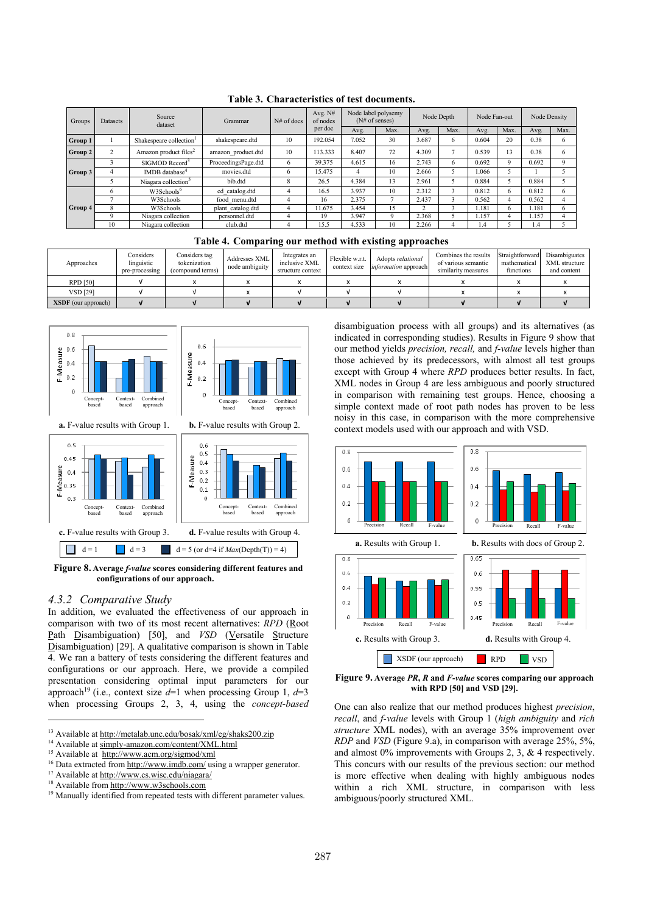| Groups  | <b>Datasets</b> | Source<br>dataset                   | Grammar             | $N#$ of docs | Avg. N#<br>of nodes | Node label polysemy<br>(N# of senses) |      | Node Depth |      | Node Fan-out |          | Node Density |      |
|---------|-----------------|-------------------------------------|---------------------|--------------|---------------------|---------------------------------------|------|------------|------|--------------|----------|--------------|------|
|         |                 |                                     |                     |              | per doc             | Avg.                                  | Max. | Avg.       | Max. | Avg.         | Max.     | Avg.         | Max. |
| Group 1 |                 | Shakespeare collection <sup>1</sup> | shakespeare.dtd     | 10           | 192.054             | 7.052                                 | 30   | 3.687      | 6    | 0.604        | 20       | 0.38         | 6    |
| Group 2 | $\Delta$        | Amazon product files <sup>2</sup>   | amazon product.dtd  | 10           | 13.333              | 8.407                                 | 72   | 4.309      | ∽    | 0.539        | 13       | 0.38         | 6    |
|         |                 | SIGMOD Record <sup>3</sup>          | ProceedingsPage.dtd | 6            | 39.375              | 4.615                                 | 16   | 2.743      | 6    | 0.692        | $\Omega$ | 0.692        | Q    |
| Group 3 | 4               | IMDB database <sup>4</sup>          | movies.dtd          | 6            | 5.475               | 4                                     | 10   | 2.666      |      | 1.066        |          |              |      |
|         |                 | Niagara collection <sup>5</sup>     | bib.dtd             | 8            | 26.5                | 4.384                                 | 13   | 2.961      |      | 0.884        |          | 0.884        |      |
|         | 6               | W3Schools <sup>6</sup>              | cd catalog.dtd      | 4            | 16.5                | 3.937                                 | 10   | 2.312      |      | 0.812        | 6        | 0.812        | 6    |
|         |                 | W3Schools                           | food menu.dtd       | 4            | 16                  | 2.375                                 |      | 2.437      |      | 0.562        |          | 0.562        | 4    |
| Group 4 | 8               | W3Schools                           | plant catalog.dtd   | 4            | 1.675               | 3.454                                 | 15   |            |      | 1.181        | 6        | 1.181        | 6    |
|         | 9               | Niagara collection                  | personnel.dtd       | 4            | 19                  | 3.947                                 | q    | 2.368      |      | 1.157        |          | 1.157        | 4    |
|         | 10              | Niagara collection                  | club.dtd            | 4            | 15.5                | 4.533                                 | 10   | 2.266      |      | . 4          |          | 1.4          |      |

**Table 3. Characteristics of test documents.** 

|  |  |  |  |  | Table 4. Comparing our method with existing approaches |
|--|--|--|--|--|--------------------------------------------------------|
|--|--|--|--|--|--------------------------------------------------------|

| Approaches            | Considers<br>linguistic<br>pre-processing | Considers tag<br>tokenization<br>(compound terms) | Addresses XML<br>node ambiguity | Integrates an<br>inclusive XML<br>structure context | Flexible w.r.t.<br>context size | Adopts relational<br><i>information</i> approach | Combines the results<br>of various semantic<br>similarity measures | Straightforward<br>mathematical<br>functions | Disambiguates<br>XML structure<br>and content |
|-----------------------|-------------------------------------------|---------------------------------------------------|---------------------------------|-----------------------------------------------------|---------------------------------|--------------------------------------------------|--------------------------------------------------------------------|----------------------------------------------|-----------------------------------------------|
| RPD [50]              |                                           |                                                   |                                 |                                                     |                                 |                                                  |                                                                    |                                              |                                               |
| <b>VSD</b> [29]       |                                           |                                                   |                                 |                                                     |                                 |                                                  |                                                                    |                                              |                                               |
| $XSDF$ (our approach) |                                           |                                                   |                                 |                                                     |                                 |                                                  |                                                                    |                                              |                                               |



**Figure 8. Average** *f-value* **scores considering different features and**  configurations of our approach.

## *4.3.2 Comparative Study*

 $\overline{a}$ 

In addition, we evaluated the effectiveness of our approach in comparison with two of its most recent alternatives: *RPD* (Root Path Disambiguation) [50], and *VSD* (Versatile Structure Disambiguation) [29]. A qualitative comparison is shown in Table 4. We ran a battery of tests considering the different features and configurations or our approach. Here, we provide a compiled presentation considering optimal input parameters for our approach<sup>19</sup> (i.e., context size  $d=1$  when processing Group 1,  $d=3$ when processing Groups 2, 3, 4, using the *concept-based* disambiguation process with all groups) and its alternatives (as indicated in corresponding studies). Results in Figure 9 show that our method yields *precision, recall,* and *f-value* levels higher than those achieved by its predecessors, with almost all test groups except with Group 4 where *RPD* produces better results. In fact, XML nodes in Group 4 are less ambiguous and poorly structured in comparison with remaining test groups. Hence, choosing a simple context made of root path nodes has proven to be less noisy in this case, in comparison with the more comprehensive context models used with our approach and with VSD.



**Figure 9. Average** *PR***,** *R* **and** *F-value* **scores comparing our approach with RPD [50] and VSD [29].**

One can also realize that our method produces highest *precision*, *recall*, and *f-value* levels with Group 1 (*high ambiguity* and *rich structure* XML nodes), with an average 35% improvement over *RDP* and *VSD* (Figure 9.a), in comparison with average 25%, 5%, and almost 0% improvements with Groups 2, 3, & 4 respectively. This concurs with our results of the previous section: our method is more effective when dealing with highly ambiguous nodes within a rich XML structure, in comparison with less ambiguous/poorly structured XML.

<sup>&</sup>lt;sup>13</sup> Available at http://metalab.unc.edu/bosak/xml/eg/shaks200.zip

<sup>&</sup>lt;sup>14</sup> Available at simply-amazon.com/content/XML.html

<sup>&</sup>lt;sup>15</sup> Available at http://www.acm.org/sigmod/xml

<sup>&</sup>lt;sup>16</sup> Data extracted from http://www.imdb.com/ using a wrapper generator.

<sup>&</sup>lt;sup>17</sup> Available at http://www.cs.wisc.edu/niagara/

<sup>18</sup> Available from http://www.w3schools.com

<sup>&</sup>lt;sup>19</sup> Manually identified from repeated tests with different parameter values.